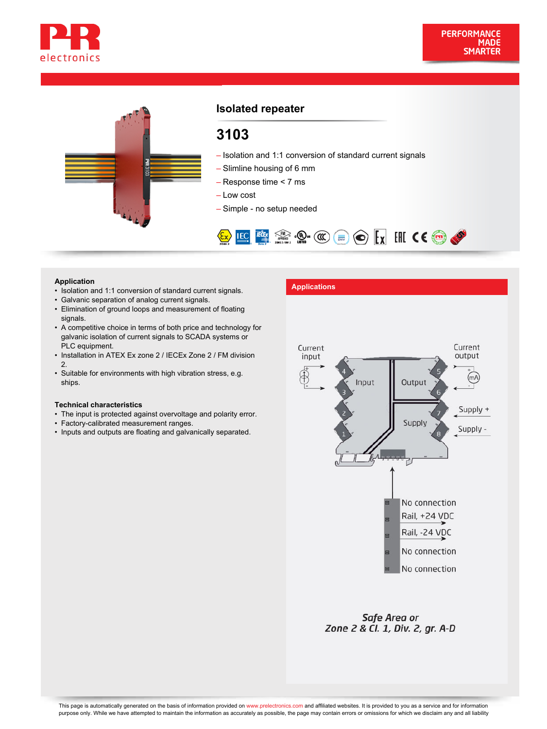



## **Isolated repeater**

# **3103**

- Isolation and 1:1 conversion of standard current signals
- Slimline housing of 6 mm
- Response time < 7 ms
- Low cost
- Simple no setup needed



- **Application**<br>• Isolation and 1:1 conversion of standard current signals.
- Galvanic separation of analog current signals.
- Elimination of ground loops and measurement of floating signals.
- A competitive choice in terms of both price and technology for galvanic isolation of current signals to SCADA systems or PLC equipment.
- Installation in ATEX Ex zone 2 / IECEx Zone 2 / FM division 2.
- Suitable for environments with high vibration stress, e.g. ships.

#### **Technical characteristics**

- The input is protected against overvoltage and polarity error.
- Factory-calibrated measurement ranges.
- Inputs and outputs are floating and galvanically separated.



Safe Area or Zone 2 & Cl. 1, Div. 2, gr. A-D